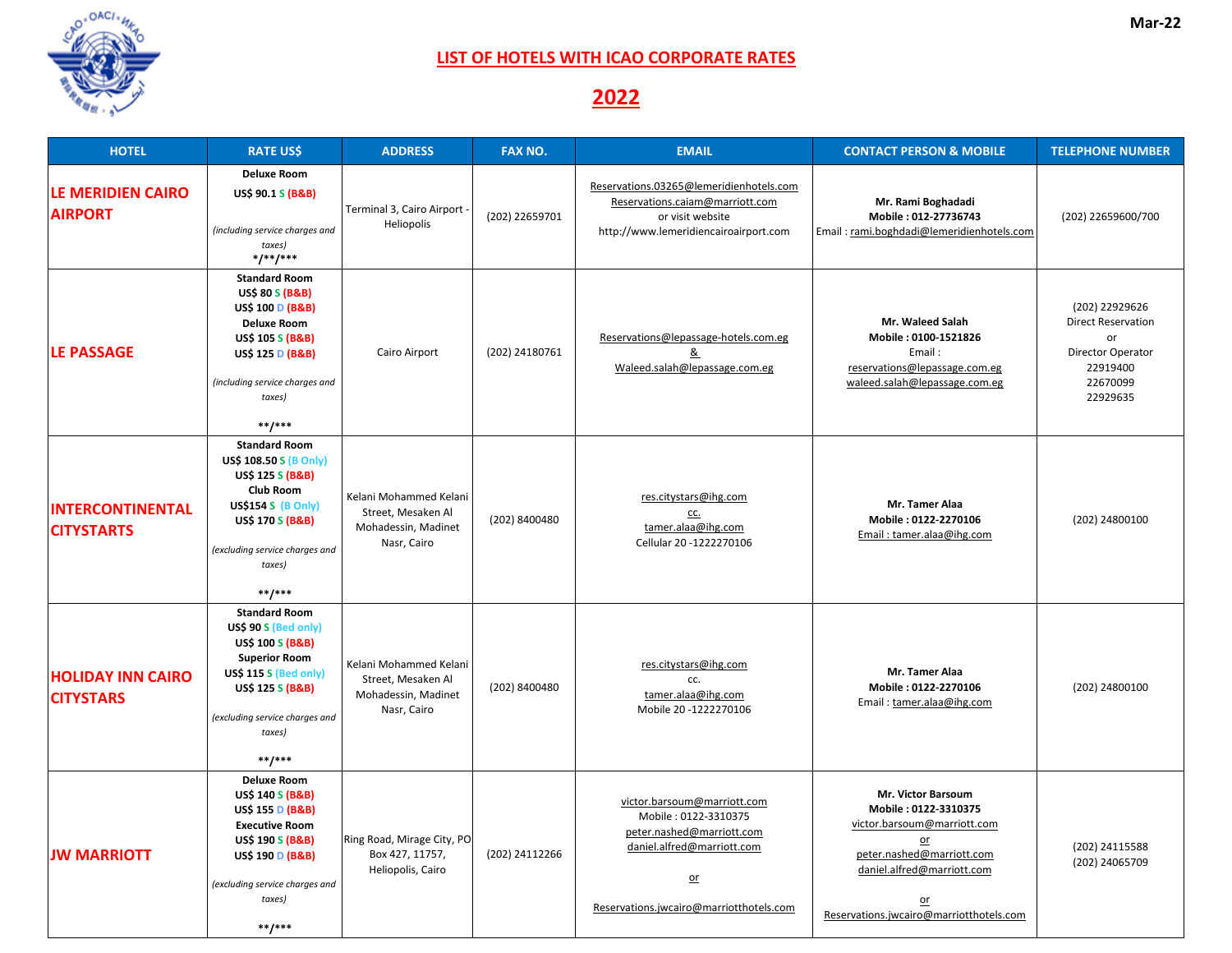| <b>HOTEL</b>                                 | <b>RATE US\$</b>                                                                                                                                                                                                                  | <b>ADDRESS</b>                                                                     | <b>FAX NO.</b> | <b>EMAIL</b>                                                                                                                                                      | <b>CONTACT PERSON &amp; MOBILE</b>                                                                                                                                                                     | <b>TELEPHONE NUMBER</b>                                                                                    |
|----------------------------------------------|-----------------------------------------------------------------------------------------------------------------------------------------------------------------------------------------------------------------------------------|------------------------------------------------------------------------------------|----------------|-------------------------------------------------------------------------------------------------------------------------------------------------------------------|--------------------------------------------------------------------------------------------------------------------------------------------------------------------------------------------------------|------------------------------------------------------------------------------------------------------------|
| <b>LE MERIDIEN CAIRO</b><br><b>AIRPORT</b>   | <b>Deluxe Room</b><br><b>US\$ 90.1 S (B&amp;B)</b><br>(including service charges and<br>taxes)<br>$*/$ */**/***                                                                                                                   | Terminal 3, Cairo Airport -<br>Heliopolis                                          | (202) 22659701 | Reservations.03265@lemeridienhotels.com<br>Reservations.caiam@marriott.com<br>or visit website<br>http://www.lemeridiencairoairport.com                           | Mr. Rami Boghadadi<br>Mobile: 012-27736743<br>Email: rami.boghdadi@lemeridienhotels.com                                                                                                                | (202) 22659600/700                                                                                         |
| <b>LE PASSAGE</b>                            | <b>Standard Room</b><br><b>US\$ 80 S (B&amp;B)</b><br><b>US\$ 100 D (B&amp;B)</b><br><b>Deluxe Room</b><br><b>US\$ 105 S (B&amp;B)</b><br><b>US\$ 125 D (B&amp;B)</b><br>(including service charges and<br>taxes)<br>$***$ /***   | <b>Cairo Airport</b>                                                               | (202) 24180761 | Reservations@lepassage-hotels.com.eg<br><u>&amp;</u><br>Waleed.salah@lepassage.com.eg                                                                             | <b>Mr. Waleed Salah</b><br>Mobile: 0100-1521826<br>Email:<br>reservations@lepassage.com.eg<br>waleed.salah@lepassage.com.eg                                                                            | (202) 22929626<br><b>Direct Reservation</b><br>or<br>Director Operator<br>22919400<br>22670099<br>22929635 |
| <b>INTERCONTINENTAL</b><br><b>CITYSTARTS</b> | <b>Standard Room</b><br>US\$ 108.50 S (B Only)<br><b>US\$ 125 S (B&amp;B)</b><br><b>Club Room</b><br><b>US\$154 S (B Only)</b><br><b>US\$ 170 S (B&amp;B)</b><br>(excluding service charges and<br>taxes)<br>$***$ /***           | Kelani Mohammed Kelani<br>Street, Mesaken Al<br>Mohadessin, Madinet<br>Nasr, Cairo | (202) 8400480  | res.citystars@ihg.com<br><u>CC.</u><br>tamer.alaa@ihg.com<br>Cellular 20 -1222270106                                                                              | Mr. Tamer Alaa<br>Mobile: 0122-2270106<br>Email: tamer.alaa@ihg.com                                                                                                                                    | (202) 24800100                                                                                             |
| <b>HOLIDAY INN CAIRO</b><br><b>CITYSTARS</b> | <b>Standard Room</b><br>US\$ 90 S (Bed only)<br><b>US\$ 100 S (B&amp;B)</b><br><b>Superior Room</b><br><b>US\$ 115 S (Bed only)</b><br><b>US\$ 125 S (B&amp;B)</b><br>(excluding service charges and<br>taxes)<br>$***$ /***      | Kelani Mohammed Kelani<br>Street, Mesaken Al<br>Mohadessin, Madinet<br>Nasr, Cairo | (202) 8400480  | res.citystars@ihg.com<br>CC.<br>tamer.alaa@ihg.com<br>Mobile 20 -1222270106                                                                                       | Mr. Tamer Alaa<br>Mobile: 0122-2270106<br>Email: tamer.alaa@ihg.com                                                                                                                                    | (202) 24800100                                                                                             |
| <b>JW MARRIOTT</b>                           | <b>Deluxe Room</b><br><b>US\$ 140 S (B&amp;B)</b><br><b>US\$ 155 D (B&amp;B)</b><br><b>Executive Room</b><br><b>US\$ 190 S (B&amp;B)</b><br><b>US\$ 190 D (B&amp;B)</b><br>(excluding service charges and<br>taxes)<br>$***$ /*** | Ring Road, Mirage City, PO<br>Box 427, 11757,<br>Heliopolis, Cairo                 | (202) 24112266 | victor.barsoum@marriott.com<br>Mobile: 0122-3310375<br>peter.nashed@marriott.com<br>daniel.alfred@marriott.com<br>$or$<br>Reservations.jwcairo@marriotthotels.com | <b>Mr. Victor Barsoum</b><br>Mobile: 0122-3310375<br>victor.barsoum@marriott.com<br>$or$<br>peter.nashed@marriott.com<br>daniel.alfred@marriott.com<br>$or$<br>Reservations.jwcairo@marriotthotels.com | (202) 24115588<br>(202) 24065709                                                                           |





## **LIST OF HOTELS WITH ICAO CORPORATE RATES**

## **2022**